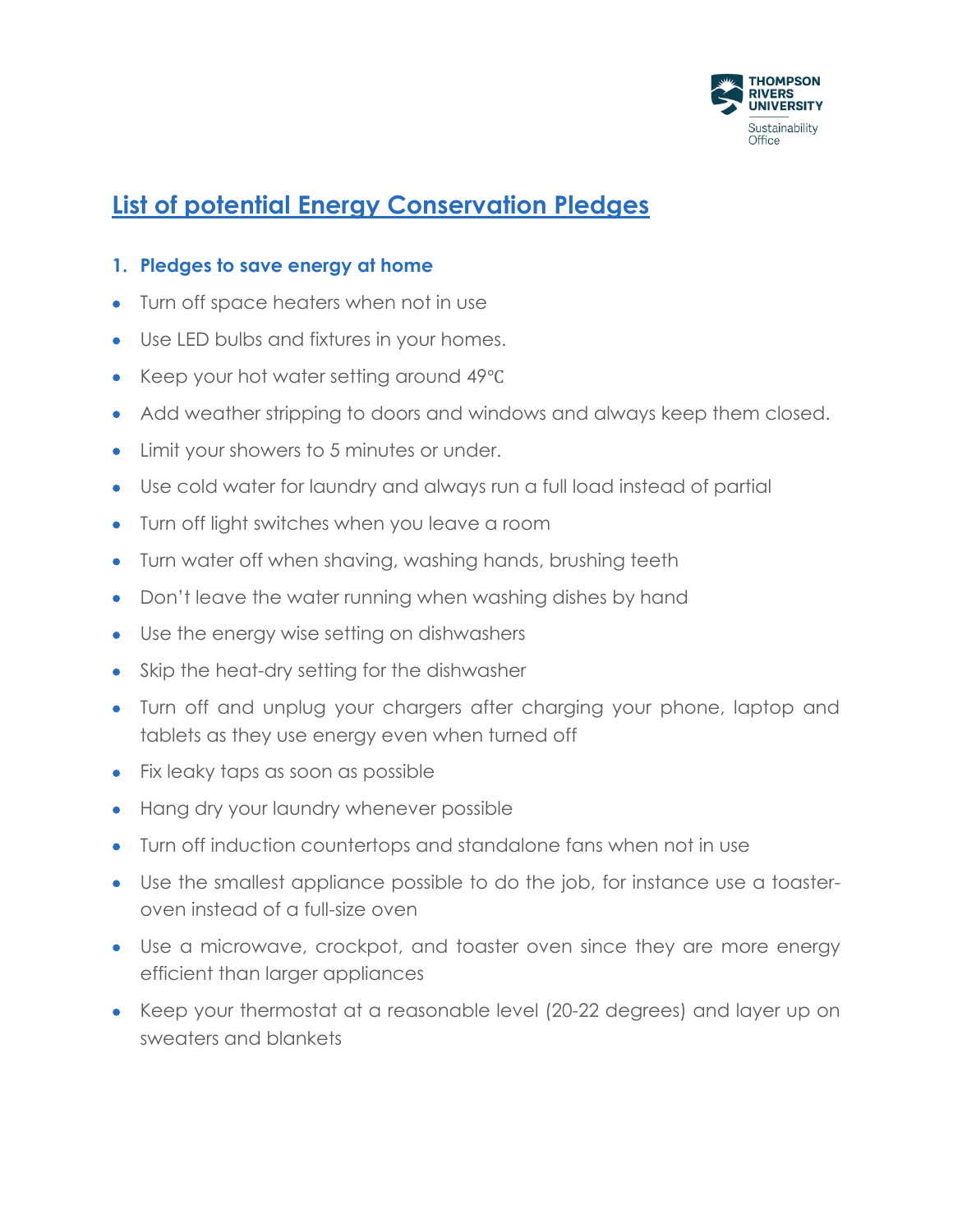

# **List of potential Energy Conservation Pledges**

#### **1. Pledges to save energy at home**

- Turn off space heaters when not in use
- Use LED bulbs and fixtures in your homes.
- Keep your hot water setting around 49℃
- Add weather stripping to doors and windows and always keep them closed.
- Limit your showers to 5 minutes or under.
- Use cold water for laundry and always run a full load instead of partial
- Turn off light switches when you leave a room
- Turn water off when shaving, washing hands, brushing teeth
- Don't leave the water running when washing dishes by hand
- Use the energy wise setting on dishwashers
- Skip the heat-dry setting for the dishwasher
- Turn off and unplug your chargers after charging your phone, laptop and tablets as they use energy even when turned off
- Fix leaky taps as soon as possible
- Hang dry your laundry whenever possible
- Turn off induction countertops and standalone fans when not in use
- Use the smallest appliance possible to do the job, for instance use a toasteroven instead of a full-size oven
- Use a microwave, crockpot, and toaster oven since they are more energy efficient than larger appliances
- Keep your thermostat at a reasonable level (20-22 degrees) and layer up on sweaters and blankets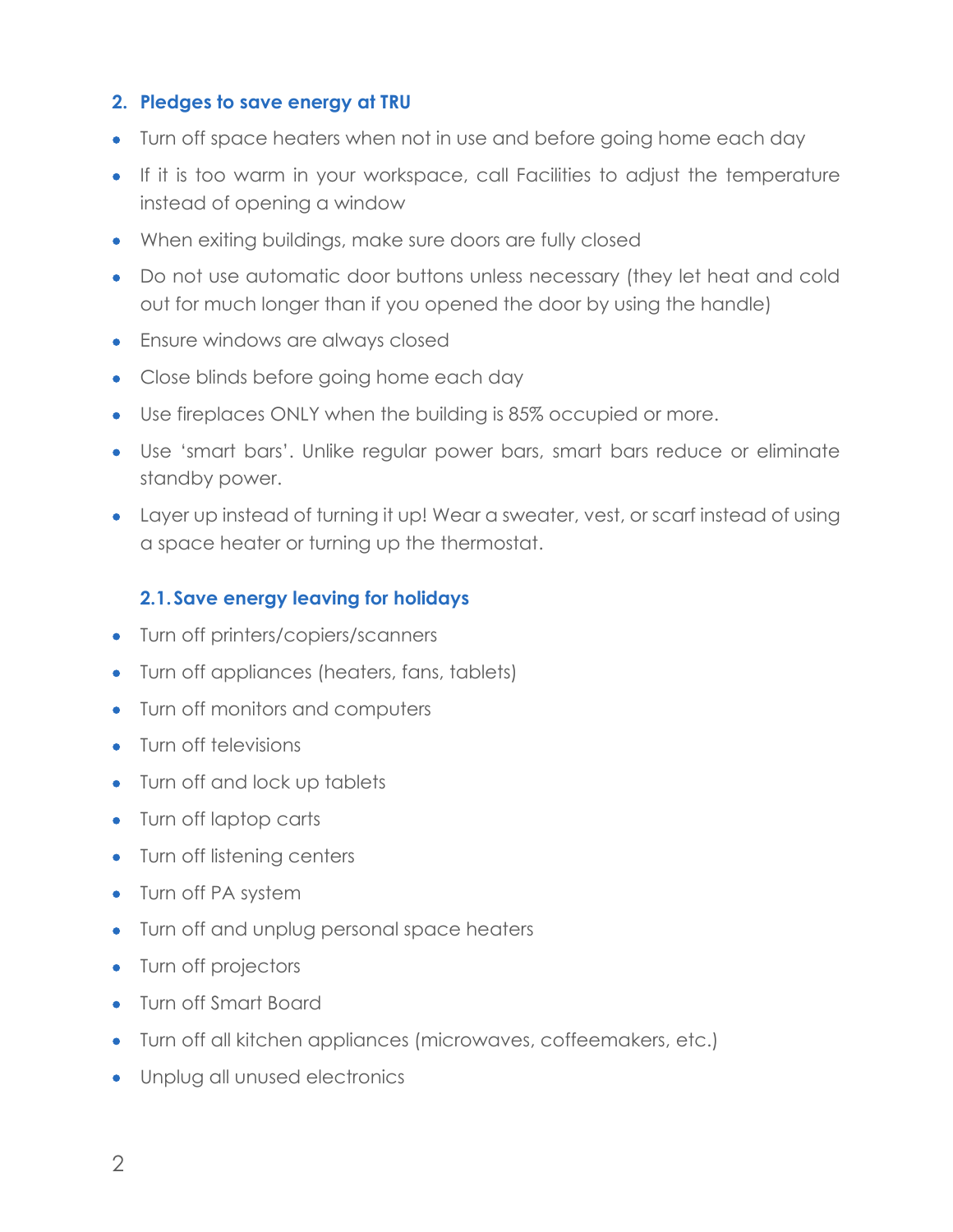## **2. Pledges to save energy at TRU**

- Turn off space heaters when not in use and before going home each day
- If it is too warm in your workspace, call Facilities to adjust the temperature instead of opening a window
- When exiting buildings, make sure doors are fully closed
- Do not use automatic door buttons unless necessary (they let heat and cold out for much longer than if you opened the door by using the handle)
- Ensure windows are always closed
- Close blinds before going home each day
- Use fireplaces ONLY when the building is 85% occupied or more.
- Use 'smart bars'. Unlike regular power bars, smart bars reduce or eliminate standby power.
- Layer up instead of turning it up! Wear a sweater, vest, or scarf instead of using a space heater or turning up the thermostat.

## **2.1.Save energy leaving for holidays**

- Turn off printers/copiers/scanners
- Turn off appliances (heaters, fans, tablets)
- Turn off monitors and computers
- Turn off televisions
- Turn off and lock up tablets
- Turn off laptop carts
- Turn off listening centers
- Turn off PA system
- Turn off and unplug personal space heaters
- Turn off projectors
- Turn off Smart Board
- Turn off all kitchen appliances (microwaves, coffeemakers, etc.)
- Unplug all unused electronics